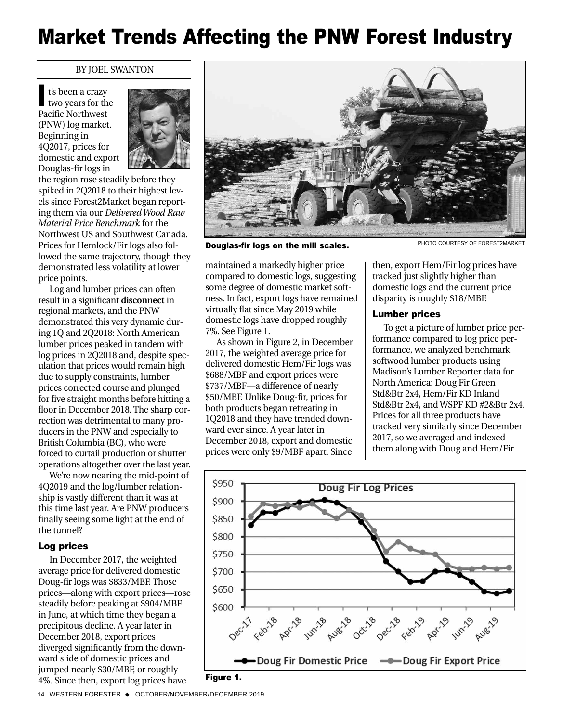# Market Trends Affecting the PNW Forest Industry

#### BY JOEL SWANTON

t's been a crazy two years for the Pacific Northwest (PNW) log market. Beginning in 4Q2017, prices for domestic and export Douglas-fir logs in I



the region rose steadily before they spiked in 2Q2018 to their highest levels since Forest2Market began reporting them via our *Delivered Wood Raw Material Price Benchmark* for the Northwest US and Southwest Canada. Prices for Hemlock/Fir logs also followed the same trajectory, though they demonstrated less volatility at lower price points.

Log and lumber prices can often result in a significant **disconnect** in regional markets, and the PNW demonstrated this very dynamic during 1Q and 2Q2018: North American lumber prices peaked in tandem with log prices in 2Q2018 and, despite speculation that prices would remain high due to supply constraints, lumber prices corrected course and plunged for five straight months before hitting a floor in December 2018. The sharp correction was detrimental to many producers in the PNW and especially to British Columbia (BC), who were forced to curtail production or shutter operations altogether over the last year.

We're now nearing the mid-point of 4Q2019 and the log/lumber relationship is vastly different than it was at this time last year. Are PNW producers finally seeing some light at the end of the tunnel?

## Log prices

In December 2017, the weighted average price for delivered domestic Doug-fir logs was \$833/MBF. Those prices—along with export prices—rose steadily before peaking at \$904/MBF in June, at which time they began a precipitous decline. A year later in December 2018, export prices diverged significantly from the downward slide of domestic prices and jumped nearly \$30/MBF, or roughly 4%. Since then, export log prices have



**Douglas-fir logs on the mill scales.** PHOTO COURTESY OF FOREST2MARKET

maintained a markedly higher price compared to domestic logs, suggesting some degree of domestic market softness. In fact, export logs have remained virtually flat since May 2019 while domestic logs have dropped roughly 7%. See Figure 1.

As shown in Figure 2, in December 2017, the weighted average price for delivered domestic Hem/Fir logs was \$688/MBF and export prices were \$737/MBF—a difference of nearly \$50/MBF. Unlike Doug-fir, prices for both products began retreating in 1Q2018 and they have trended downward ever since. A year later in December 2018, export and domestic prices were only \$9/MBF apart. Since

then, export Hem/Fir log prices have tracked just slightly higher than domestic logs and the current price disparity is roughly \$18/MBF.

## Lumber prices

To get a picture of lumber price performance compared to log price performance, we analyzed benchmark softwood lumber products using Madison's Lumber Reporter data for North America: Doug Fir Green Std&Btr 2x4, Hem/Fir KD Inland Std&Btr 2x4, and WSPF KD #2&Btr 2x4. Prices for all three products have tracked very similarly since December 2017, so we averaged and indexed them along with Doug and Hem/Fir



Figure 1.